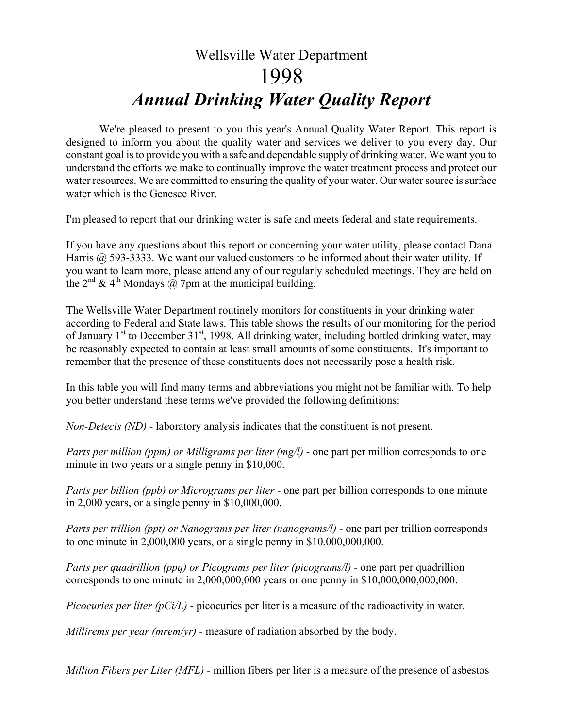## Wellsville Water Department 1998 *Annual Drinking Water Quality Report*

We're pleased to present to you this year's Annual Quality Water Report. This report is designed to inform you about the quality water and services we deliver to you every day. Our constant goal is to provide you with a safe and dependable supply of drinking water. We want you to understand the efforts we make to continually improve the water treatment process and protect our water resources. We are committed to ensuring the quality of your water. Our water source is surface water which is the Genesee River.

I'm pleased to report that our drinking water is safe and meets federal and state requirements.

If you have any questions about this report or concerning your water utility, please contact Dana Harris @ 593-3333. We want our valued customers to be informed about their water utility. If you want to learn more, please attend any of our regularly scheduled meetings. They are held on the  $2^{nd}$  & 4<sup>th</sup> Mondays  $\overline{a}$ . 7pm at the municipal building.

The Wellsville Water Department routinely monitors for constituents in your drinking water according to Federal and State laws. This table shows the results of our monitoring for the period of January 1<sup>st</sup> to December 31<sup>st</sup>, 1998. All drinking water, including bottled drinking water, may be reasonably expected to contain at least small amounts of some constituents. It's important to remember that the presence of these constituents does not necessarily pose a health risk.

In this table you will find many terms and abbreviations you might not be familiar with. To help you better understand these terms we've provided the following definitions:

*Non-Detects (ND)* - laboratory analysis indicates that the constituent is not present.

*Parts per million (ppm) or Milligrams per liter (mg/l)* - one part per million corresponds to one minute in two years or a single penny in \$10,000.

*Parts per billion (ppb) or Micrograms per liter* - one part per billion corresponds to one minute in 2,000 years, or a single penny in \$10,000,000.

*Parts per trillion (ppt) or Nanograms per liter (nanograms/l)* - one part per trillion corresponds to one minute in  $2,000,000$  years, or a single penny in  $$10,000,000,000$ .

*Parts per quadrillion (ppq) or Picograms per liter (picograms/l)* - one part per quadrillion corresponds to one minute in 2,000,000,000 years or one penny in \$10,000,000,000,000.

*Picocuries per liter (pCi/L)* - picocuries per liter is a measure of the radioactivity in water.

*Millirems per year (mrem/yr)* - measure of radiation absorbed by the body.

*Million Fibers per Liter (MFL)* - million fibers per liter is a measure of the presence of asbestos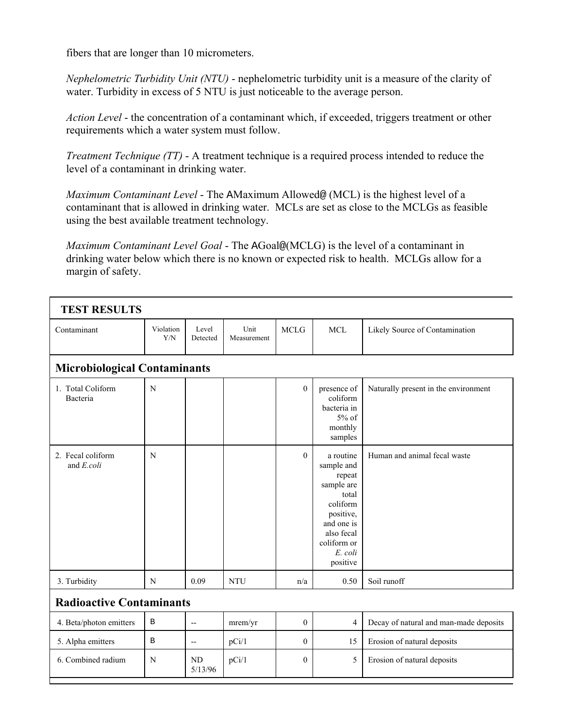fibers that are longer than 10 micrometers.

Г

*Nephelometric Turbidity Unit (NTU)* - nephelometric turbidity unit is a measure of the clarity of water. Turbidity in excess of 5 NTU is just noticeable to the average person.

*Action Level* - the concentration of a contaminant which, if exceeded, triggers treatment or other requirements which a water system must follow.

*Treatment Technique (TT)* - A treatment technique is a required process intended to reduce the level of a contaminant in drinking water.

*Maximum Contaminant Level* - The AMaximum Allowed@ (MCL) is the highest level of a contaminant that is allowed in drinking water. MCLs are set as close to the MCLGs as feasible using the best available treatment technology.

*Maximum Contaminant Level Goal* - The AGoal@(MCLG) is the level of a contaminant in drinking water below which there is no known or expected risk to health. MCLGs allow for a margin of safety.

| <b>TEST RESULTS</b>                              |                  |                   |                     |                  |                                                                                                                                                     |                                        |  |  |
|--------------------------------------------------|------------------|-------------------|---------------------|------------------|-----------------------------------------------------------------------------------------------------------------------------------------------------|----------------------------------------|--|--|
| Contaminant                                      | Violation<br>Y/N | Level<br>Detected | Unit<br>Measurement | <b>MCLG</b>      | <b>MCL</b>                                                                                                                                          | Likely Source of Contamination         |  |  |
| <b>Microbiological Contaminants</b>              |                  |                   |                     |                  |                                                                                                                                                     |                                        |  |  |
| 1. Total Coliform<br>Bacteria                    | $\mathbf N$      |                   |                     | $\theta$         | presence of<br>coliform<br>bacteria in<br>$5%$ of<br>monthly<br>samples                                                                             | Naturally present in the environment   |  |  |
| 2. Fecal coliform<br>and $E_{\cdot}$ <i>coli</i> | N                |                   |                     | $\theta$         | a routine<br>sample and<br>repeat<br>sample are<br>total<br>coliform<br>positive,<br>and one is<br>also fecal<br>coliform or<br>E. coli<br>positive | Human and animal fecal waste           |  |  |
| 3. Turbidity                                     | N                | 0.09              | <b>NTU</b>          | n/a              | 0.50                                                                                                                                                | Soil runoff                            |  |  |
| <b>Radioactive Contaminants</b>                  |                  |                   |                     |                  |                                                                                                                                                     |                                        |  |  |
| 4. Beta/photon emitters                          | $\, {\bf B}$     | $\overline{a}$    | mrem/yr             | $\mathbf{0}$     | 4                                                                                                                                                   | Decay of natural and man-made deposits |  |  |
| 5. Alpha emitters                                | $\mathbf B$      | $\overline{a}$    | pCi/1               | $\boldsymbol{0}$ | 15                                                                                                                                                  | Erosion of natural deposits            |  |  |
| 6. Combined radium                               | N                | N <sub>D</sub>    | pCi/1               | $\overline{0}$   | 5                                                                                                                                                   | Erosion of natural deposits            |  |  |

5/13/96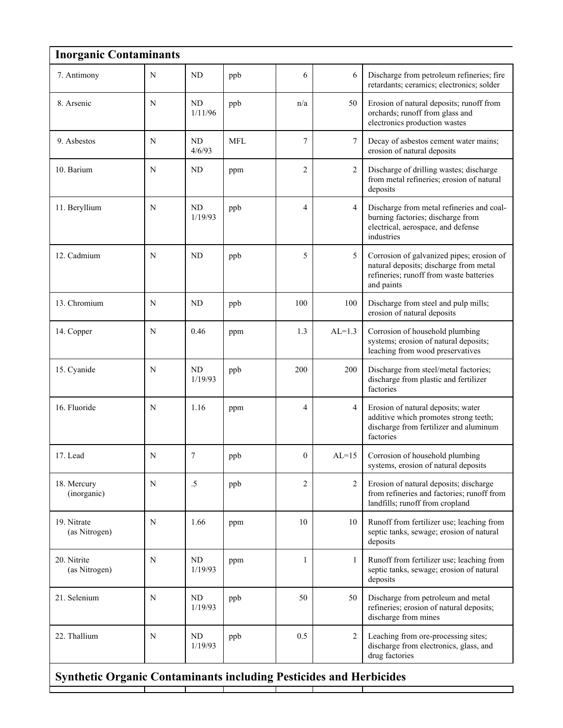| <b>Inorganic Contaminants</b>                                             |   |                      |            |                |                |                                                                                                                                              |  |
|---------------------------------------------------------------------------|---|----------------------|------------|----------------|----------------|----------------------------------------------------------------------------------------------------------------------------------------------|--|
| 7. Antimony                                                               | N | <b>ND</b>            | ppb        | 6              | 6              | Discharge from petroleum refineries; fire<br>retardants; ceramics; electronics; solder                                                       |  |
| 8. Arsenic                                                                | N | ND<br>1/11/96        | ppb        | n/a            | 50             | Erosion of natural deposits; runoff from<br>orchards; runoff from glass and<br>electronics production wastes                                 |  |
| 9. Asbestos                                                               | N | <b>ND</b><br>4/6/93  | <b>MFL</b> | $\overline{7}$ | $\tau$         | Decay of asbestos cement water mains;<br>erosion of natural deposits                                                                         |  |
| 10. Barium                                                                | N | <b>ND</b>            | ppm        | $\overline{2}$ | $\overline{2}$ | Discharge of drilling wastes; discharge<br>from metal refineries; erosion of natural<br>deposits                                             |  |
| 11. Beryllium                                                             | N | ND<br>1/19/93        | ppb        | $\overline{4}$ | $\overline{4}$ | Discharge from metal refineries and coal-<br>burning factories; discharge from<br>electrical, aerospace, and defense<br>industries           |  |
| 12. Cadmium                                                               | N | ND                   | ppb        | 5              | 5              | Corrosion of galvanized pipes; erosion of<br>natural deposits; discharge from metal<br>refineries; runoff from waste batteries<br>and paints |  |
| 13. Chromium                                                              | N | <b>ND</b>            | ppb        | 100            | 100            | Discharge from steel and pulp mills;<br>erosion of natural deposits                                                                          |  |
| 14. Copper                                                                | N | 0.46                 | ppm        | 1.3            | $AL=1.3$       | Corrosion of household plumbing<br>systems; erosion of natural deposits;<br>leaching from wood preservatives                                 |  |
| 15. Cyanide                                                               | N | <b>ND</b><br>1/19/93 | ppb        | 200            | 200            | Discharge from steel/metal factories;<br>discharge from plastic and fertilizer<br>factories                                                  |  |
| 16. Fluoride                                                              | N | 1.16                 | ppm        | $\overline{4}$ | $\overline{4}$ | Erosion of natural deposits; water<br>additive which promotes strong teeth;<br>discharge from fertilizer and aluminum<br>factories           |  |
| 17. Lead                                                                  | N | 7                    | ppb        | $\mathbf{0}$   | $AL=15$        | Corrosion of household plumbing<br>systems, erosion of natural deposits                                                                      |  |
| 18. Mercury<br>(inorganic)                                                | N | .5                   | ppb        | $\overline{2}$ | 2              | Erosion of natural deposits; discharge<br>from refineries and factories; runoff from<br>landfills; runoff from cropland                      |  |
| 19. Nitrate<br>(as Nitrogen)                                              | N | 1.66                 | ppm        | 10             | 10             | Runoff from fertilizer use; leaching from<br>septic tanks, sewage; erosion of natural<br>deposits                                            |  |
| 20. Nitrite<br>(as Nitrogen)                                              | N | <b>ND</b><br>1/19/93 | ppm        | 1              | 1              | Runoff from fertilizer use; leaching from<br>septic tanks, sewage; erosion of natural<br>deposits                                            |  |
| 21. Selenium                                                              | N | <b>ND</b><br>1/19/93 | ppb        | 50             | 50             | Discharge from petroleum and metal<br>refineries; erosion of natural deposits;<br>discharge from mines                                       |  |
| 22. Thallium                                                              | N | ND<br>1/19/93        | ppb        | 0.5            | $\overline{2}$ | Leaching from ore-processing sites;<br>discharge from electronics, glass, and<br>drug factories                                              |  |
| <b>Synthetic Organic Contaminants including Pesticides and Herbicides</b> |   |                      |            |                |                |                                                                                                                                              |  |

Т

Т

Т

L

Т

┬

Т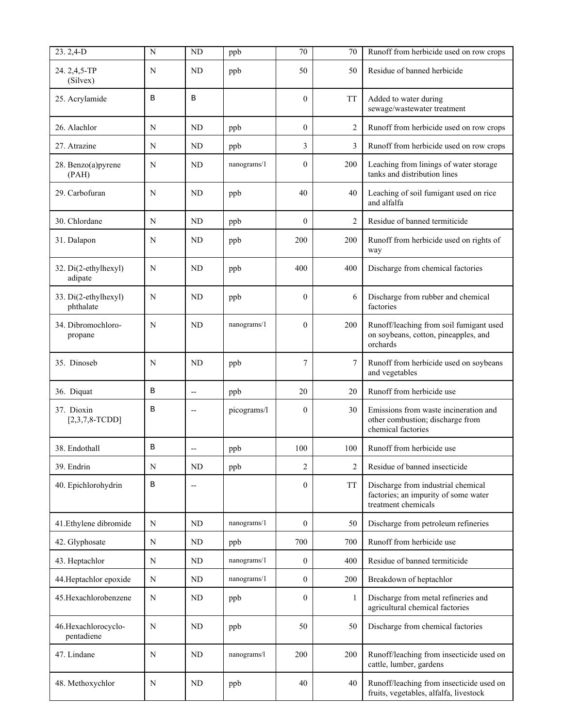| 23.2,4-D                           | N           | ND                       | ppb         | 70               | 70             | Runoff from herbicide used on row crops                                                           |
|------------------------------------|-------------|--------------------------|-------------|------------------|----------------|---------------------------------------------------------------------------------------------------|
| 24.2,4,5-TP<br>(Silvex)            | N           | ND                       | ppb         | 50               | 50             | Residue of banned herbicide                                                                       |
| 25. Acrylamide                     | B           | В                        |             | $\mathbf{0}$     | <b>TT</b>      | Added to water during<br>sewage/wastewater treatment                                              |
| 26. Alachlor                       | N           | <b>ND</b>                | ppb         | $\overline{0}$   | $\overline{c}$ | Runoff from herbicide used on row crops                                                           |
| 27. Atrazine                       | N           | <b>ND</b>                | ppb         | 3                | 3              | Runoff from herbicide used on row crops                                                           |
| 28. Benzo(a)pyrene<br>(PAH)        | N           | ND                       | nanograms/1 | $\mathbf{0}$     | 200            | Leaching from linings of water storage<br>tanks and distribution lines                            |
| 29. Carbofuran                     | N           | <b>ND</b>                | ppb         | 40               | 40             | Leaching of soil fumigant used on rice<br>and alfalfa                                             |
| 30. Chlordane                      | N           | ND                       | ppb         | $\mathbf{0}$     | $\overline{c}$ | Residue of banned termiticide                                                                     |
| 31. Dalapon                        | N           | ND                       | ppb         | 200              | 200            | Runoff from herbicide used on rights of<br>way                                                    |
| 32. Di(2-ethylhexyl)<br>adipate    | N           | ND                       | ppb         | 400              | 400            | Discharge from chemical factories                                                                 |
| 33. Di(2-ethylhexyl)<br>phthalate  | N           | ND                       | ppb         | $\mathbf{0}$     | 6              | Discharge from rubber and chemical<br>factories                                                   |
| 34. Dibromochloro-<br>propane      | N           | <b>ND</b>                | nanograms/1 | $\theta$         | 200            | Runoff/leaching from soil fumigant used<br>on soybeans, cotton, pineapples, and<br>orchards       |
| 35. Dinoseb                        | N           | <b>ND</b>                | ppb         | $\overline{7}$   | 7              | Runoff from herbicide used on soybeans<br>and vegetables                                          |
| 36. Diquat                         | $\mathbf B$ | $\overline{\phantom{a}}$ | ppb         | 20               | 20             | Runoff from herbicide use                                                                         |
| 37. Dioxin<br>$[2,3,7,8-TCDD]$     | B           |                          | picograms/l | $\mathbf{0}$     | 30             | Emissions from waste incineration and<br>other combustion; discharge from<br>chemical factories   |
| 38. Endothall                      | B           |                          | ppb         | 100              | 100            | Runoff from herbicide use                                                                         |
| 39. Endrin                         | N           | ND                       | ppb         | $\overline{c}$   | $\overline{c}$ | Residue of banned insecticide                                                                     |
| 40. Epichlorohydrin                | B           | $\overline{\phantom{a}}$ |             | $\overline{0}$   | TT             | Discharge from industrial chemical<br>factories; an impurity of some water<br>treatment chemicals |
| 41. Ethylene dibromide             | N           | ND                       | nanograms/1 | $\mathbf{0}$     | 50             | Discharge from petroleum refineries                                                               |
| 42. Glyphosate                     | $\mathbf N$ | ND                       | ppb         | 700              | 700            | Runoff from herbicide use                                                                         |
| 43. Heptachlor                     | N           | ND                       | nanograms/1 | $\boldsymbol{0}$ | 400            | Residue of banned termiticide                                                                     |
| 44. Heptachlor epoxide             | $\mathbf N$ | ND                       | nanograms/1 | $\mathbf{0}$     | 200            | Breakdown of heptachlor                                                                           |
| 45. Hexachlorobenzene              | N           | ND                       | ppb         | $\overline{0}$   | 1              | Discharge from metal refineries and<br>agricultural chemical factories                            |
| 46. Hexachlorocyclo-<br>pentadiene | N           | ND                       | ppb         | 50               | 50             | Discharge from chemical factories                                                                 |
| 47. Lindane                        | N           | ND                       | nanograms/l | 200              | 200            | Runoff/leaching from insecticide used on<br>cattle, lumber, gardens                               |
| 48. Methoxychlor                   | N           | ND                       | ppb         | 40               | 40             | Runoff/leaching from insecticide used on<br>fruits, vegetables, alfalfa, livestock                |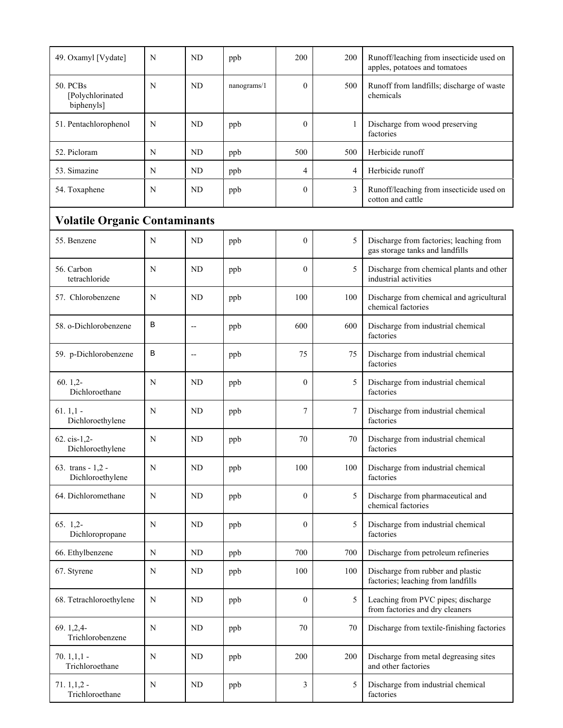| 49. Oxamyl [Vydate]                        | N           | <b>ND</b> | ppb         | 200            | 200            | Runoff/leaching from insecticide used on<br>apples, potatoes and tomatoes  |  |  |
|--------------------------------------------|-------------|-----------|-------------|----------------|----------------|----------------------------------------------------------------------------|--|--|
| 50. PCBs<br>[Polychlorinated<br>biphenyls] | N           | <b>ND</b> | nanograms/1 | $\theta$       | 500            | Runoff from landfills; discharge of waste<br>chemicals                     |  |  |
| 51. Pentachlorophenol                      | N           | <b>ND</b> | ppb         | $\mathbf{0}$   | $\mathbf{1}$   | Discharge from wood preserving<br>factories                                |  |  |
| 52. Picloram                               | N           | ND        | ppb         | 500            | 500            | Herbicide runoff                                                           |  |  |
| 53. Simazine                               | N           | <b>ND</b> | ppb         | 4              | $\overline{4}$ | Herbicide runoff                                                           |  |  |
| 54. Toxaphene                              | N           | <b>ND</b> | ppb         | $\mathbf{0}$   | 3              | Runoff/leaching from insecticide used on<br>cotton and cattle              |  |  |
| <b>Volatile Organic Contaminants</b>       |             |           |             |                |                |                                                                            |  |  |
| 55. Benzene                                | N           | ND        | ppb         | $\mathbf{0}$   | 5              | Discharge from factories; leaching from<br>gas storage tanks and landfills |  |  |
| 56. Carbon<br>tetrachloride                | N           | ND        | ppb         | $\theta$       | 5              | Discharge from chemical plants and other<br>industrial activities          |  |  |
| 57. Chlorobenzene                          | N           | <b>ND</b> | ppb         | 100            | 100            | Discharge from chemical and agricultural<br>chemical factories             |  |  |
| 58. o-Dichlorobenzene                      | В           | $-$       | ppb         | 600            | 600            | Discharge from industrial chemical<br>factories                            |  |  |
| 59. p-Dichlorobenzene                      | B           | $-$       | ppb         | 75             | 75             | Discharge from industrial chemical<br>factories                            |  |  |
| $60.1,2-$<br>Dichloroethane                | N           | ND        | ppb         | $\theta$       | 5              | Discharge from industrial chemical<br>factories                            |  |  |
| $61.1,1$ -<br>Dichloroethylene             | N           | <b>ND</b> | ppb         | 7              | 7              | Discharge from industrial chemical<br>factories                            |  |  |
| 62. cis-1,2-<br>Dichloroethylene           | N           | ND        | ppb         | 70             | 70             | Discharge from industrial chemical<br>factories                            |  |  |
| 63. trans - $1,2$ -<br>Dichloroethylene    | N           | ND        | ppb         | 100            | 100            | Discharge from industrial chemical<br>factories                            |  |  |
| 64. Dichloromethane                        | N           | ND        | ppb         | $\overline{0}$ | 5              | Discharge from pharmaceutical and<br>chemical factories                    |  |  |
| $65.1.2-$<br>Dichloropropane               | N           | ND        | ppb         | $\overline{0}$ | 5              | Discharge from industrial chemical<br>factories                            |  |  |
| 66. Ethylbenzene                           | N           | ND        | ppb         | 700            | 700            | Discharge from petroleum refineries                                        |  |  |
| 67. Styrene                                | N           | ND        | ppb         | 100            | 100            | Discharge from rubber and plastic<br>factories; leaching from landfills    |  |  |
| 68. Tetrachloroethylene                    | N           | ND        | ppb         | $\mathbf{0}$   | 5              | Leaching from PVC pipes; discharge<br>from factories and dry cleaners      |  |  |
| 69.1,2,4<br>Trichlorobenzene               | N           | ND        | ppb         | 70             | 70             | Discharge from textile-finishing factories                                 |  |  |
| $70.1,1,1$ -<br>Trichloroethane            | N           | ND        | ppb         | 200            | 200            | Discharge from metal degreasing sites<br>and other factories               |  |  |
| $71.1,1,2$ -<br>Trichloroethane            | $\mathbf N$ | ND        | ppb         | 3              | 5              | Discharge from industrial chemical<br>factories                            |  |  |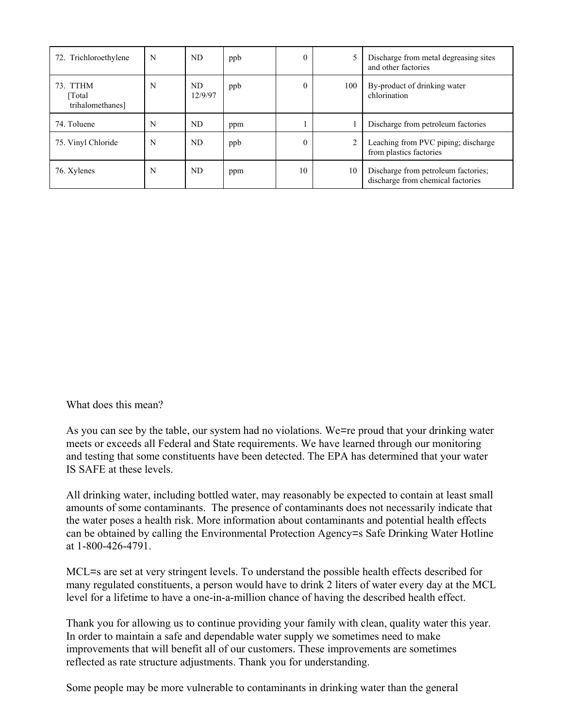| 72. Trichloroethylene                  | N | ND             | ppb | $\theta$ |                | Discharge from metal degreasing sites<br>and other factories             |
|----------------------------------------|---|----------------|-----|----------|----------------|--------------------------------------------------------------------------|
| 73. TTHM<br>[Total<br>trihalomethanes] | N | ND.<br>12/9/97 | ppb | $\Omega$ | 100            | By-product of drinking water<br>chlorination                             |
| 74. Toluene                            | N | ND             | ppm |          |                | Discharge from petroleum factories                                       |
| 75. Vinyl Chloride                     | N | ND             | ppb | $\Omega$ | $\overline{2}$ | Leaching from PVC piping; discharge<br>from plastics factories           |
| 76. Xylenes                            | N | ND             | ppm | 10       | 10             | Discharge from petroleum factories;<br>discharge from chemical factories |

What does this mean?

As you can see by the table, our system had no violations. We=re proud that your drinking water meets or exceeds all Federal and State requirements. We have learned through our monitoring and testing that some constituents have been detected. The EPA has determined that your water IS SAFE at these levels.

All drinking water, including bottled water, may reasonably be expected to contain at least small amounts of some contaminants. The presence of contaminants does not necessarily indicate that the water poses a health risk. More information about contaminants and potential health effects can be obtained by calling the Environmental Protection Agency=s Safe Drinking Water Hotline at 1-800-426-4791.

MCL=s are set at very stringent levels. To understand the possible health effects described for many regulated constituents, a person would have to drink 2 liters of water every day at the MCL level for a lifetime to have a one-in-a-million chance of having the described health effect.

Thank you for allowing us to continue providing your family with clean, quality water this year. In order to maintain a safe and dependable water supply we sometimes need to make improvements that will benefit all of our customers. These improvements are sometimes reflected as rate structure adjustments. Thank you for understanding.

Some people may be more vulnerable to contaminants in drinking water than the general